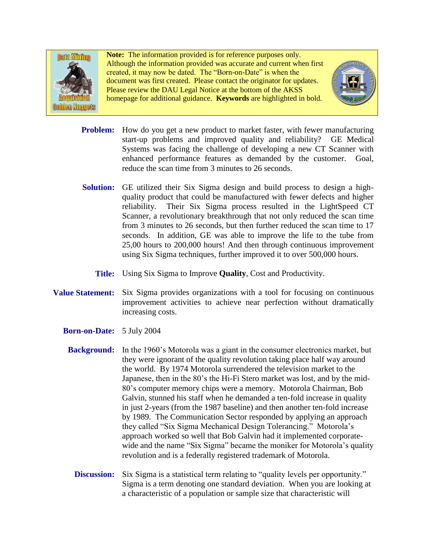

**Note:** The information provided is for reference purposes only. Although the information provided was accurate and current when first created, it may now be dated. The "Born-on-Date" is when the document was first created. Please contact the originator for updates. Please review the DAU Legal Notice at the bottom of the AKSS homepage for additional guidance. **Keywords** are highlighted in bold.



- Problem: How do you get a new product to market faster, with fewer manufacturing start-up problems and improved quality and reliability? GE Medical Systems was facing the challenge of developing a new CT Scanner with enhanced performance features as demanded by the customer. Goal, reduce the scan time from 3 minutes to 26 seconds.
- Solution: GE utilized their Six Sigma design and build process to design a highquality product that could be manufactured with fewer defects and higher reliability. Their Six Sigma process resulted in the LightSpeed CT Scanner, a revolutionary breakthrough that not only reduced the scan time from 3 minutes to 26 seconds, but then further reduced the scan time to 17 seconds. In addition, GE was able to improve the life to the tube from 25,00 hours to 200,000 hours! And then through continuous improvement using Six Sigma techniques, further improved it to over 500,000 hours.
	- **Title:** Using Six Sigma to Improve **Quality**, Cost and Productivity.
- **Value Statement:** Six Sigma provides organizations with a tool for focusing on continuous improvement activities to achieve near perfection without dramatically increasing costs.
	- **Born-on-Date:** 5 July 2004
		- **Background:** In the 1960's Motorola was a giant in the consumer electronics market, but they were ignorant of the quality revolution taking place half way around the world. By 1974 Motorola surrendered the television market to the Japanese, then in the 80's the Hi-Fi Stero market was lost, and by the mid-80's computer memory chips were a memory. Motorola Chairman, Bob Galvin, stunned his staff when he demanded a ten-fold increase in quality in just 2-years (from the 1987 baseline) and then another ten-fold increase by 1989. The Communication Sector responded by applying an approach they called "Six Sigma Mechanical Design Tolerancing." Motorola's approach worked so well that Bob Galvin had it implemented corporatewide and the name "Six Sigma" became the moniker for Motorola's quality revolution and is a federally registered trademark of Motorola.
			- **Discussion:** Six Sigma is a statistical term relating to "quality levels per opportunity." Sigma is a term denoting one standard deviation. When you are looking at a characteristic of a population or sample size that characteristic will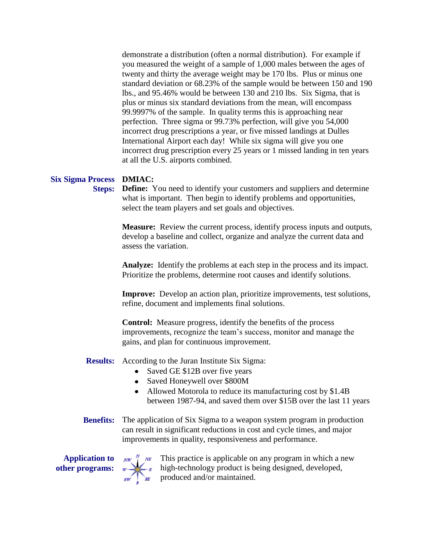demonstrate a distribution (often a normal distribution). For example if you measured the weight of a sample of 1,000 males between the ages of twenty and thirty the average weight may be 170 lbs. Plus or minus one standard deviation or 68.23% of the sample would be between 150 and 190 lbs., and 95.46% would be between 130 and 210 lbs. Six Sigma, that is plus or minus six standard deviations from the mean, will encompass 99.9997% of the sample. In quality terms this is approaching near perfection. Three sigma or 99.73% perfection, will give you 54,000 incorrect drug prescriptions a year, or five missed landings at Dulles International Airport each day! While six sigma will give you one incorrect drug prescription every 25 years or 1 missed landing in ten years at all the U.S. airports combined.

## **Six Sigma Process DMIAC:**

**Steps:** Define: You need to identify your customers and suppliers and determine what is important. Then begin to identify problems and opportunities, select the team players and set goals and objectives.

> **Measure:** Review the current process, identify process inputs and outputs, develop a baseline and collect, organize and analyze the current data and assess the variation.

**Analyze:** Identify the problems at each step in the process and its impact. Prioritize the problems, determine root causes and identify solutions.

**Improve:** Develop an action plan, prioritize improvements, test solutions, refine, document and implements final solutions.

**Control:** Measure progress, identify the benefits of the process improvements, recognize the team's success, monitor and manage the gains, and plan for continuous improvement.

**Results:** According to the Juran Institute Six Sigma:

- Saved GE \$12B over five years
- Saved Honeywell over \$800M
- Allowed Motorola to reduce its manufacturing cost by \$1.4B between 1987-94, and saved them over \$15B over the last 11 years
- **Benefits:** The application of Six Sigma to a weapon system program in production can result in significant reductions in cost and cycle times, and major improvements in quality, responsiveness and performance.

**Application to other programs:**



This practice is applicable on any program in which a new high-technology product is being designed, developed, produced and/or maintained.